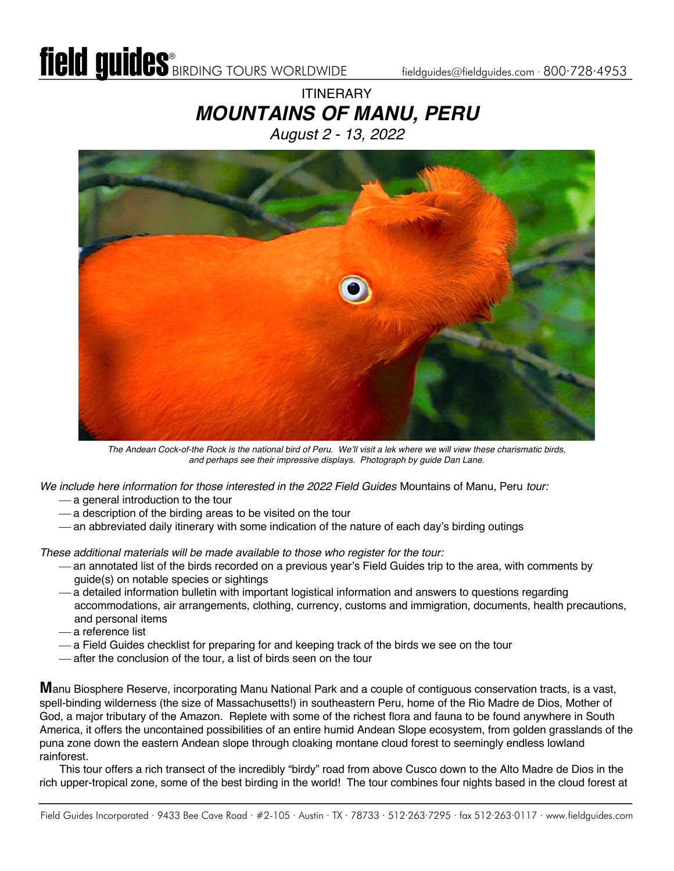### **ITINERARY** *MOUNTAINS OF MANU, PERU August 2 - 13, 2022*



*The Andean Cock-of-the Rock is the national bird of Peru. We'll visit a lek where we will view these charismatic birds, and perhaps see their impressive displays. Photograph by guide Dan Lane.* 

*We include here information for those interested in the 2022 Field Guides* Mountains of Manu, Peru *tour:*

- a general introduction to the tour
- $-$  a description of the birding areas to be visited on the tour
- an abbreviated daily itinerary with some indication of the nature of each day's birding outings

*These additional materials will be made available to those who register for the tour:*

- ¾ an annotated list of the birds recorded on a previous year's Field Guides trip to the area, with comments by guide(s) on notable species or sightings
- ¾ a detailed information bulletin with important logistical information and answers to questions regarding accommodations, air arrangements, clothing, currency, customs and immigration, documents, health precautions, and personal items
- ¾ a reference list
- ¾ a Field Guides checklist for preparing for and keeping track of the birds we see on the tour
- ¾ after the conclusion of the tour, a list of birds seen on the tour

**M**anu Biosphere Reserve, incorporating Manu National Park and a couple of contiguous conservation tracts, is a vast, spell-binding wilderness (the size of Massachusetts!) in southeastern Peru, home of the Rio Madre de Dios, Mother of God, a major tributary of the Amazon. Replete with some of the richest flora and fauna to be found anywhere in South America, it offers the uncontained possibilities of an entire humid Andean Slope ecosystem, from golden grasslands of the puna zone down the eastern Andean slope through cloaking montane cloud forest to seemingly endless lowland rainforest.

This tour offers a rich transect of the incredibly "birdy" road from above Cusco down to the Alto Madre de Dios in the rich upper-tropical zone, some of the best birding in the world! The tour combines four nights based in the cloud forest at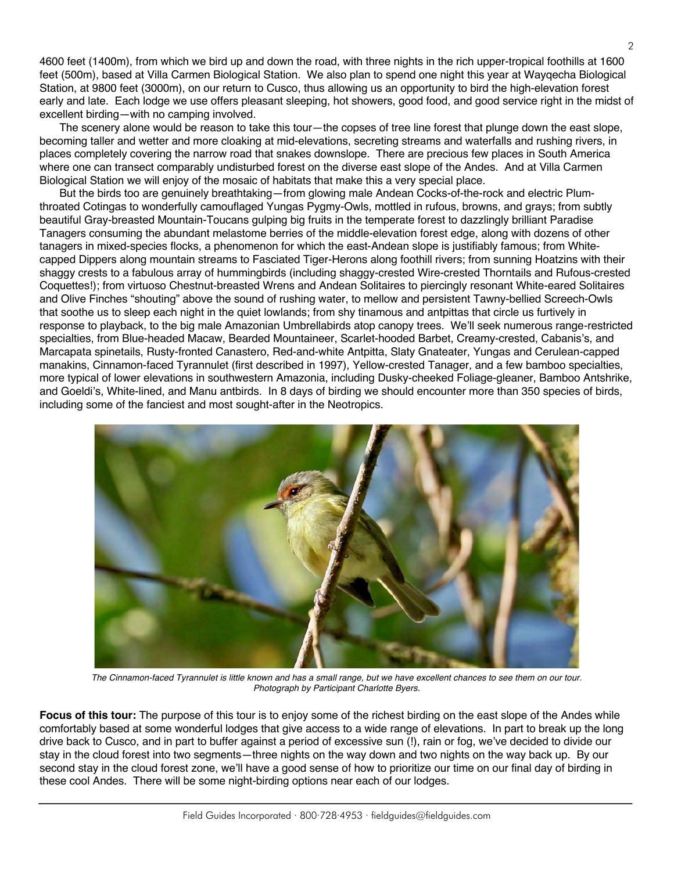4600 feet (1400m), from which we bird up and down the road, with three nights in the rich upper-tropical foothills at 1600 feet (500m), based at Villa Carmen Biological Station. We also plan to spend one night this year at Wayqecha Biological Station, at 9800 feet (3000m), on our return to Cusco, thus allowing us an opportunity to bird the high-elevation forest early and late. Each lodge we use offers pleasant sleeping, hot showers, good food, and good service right in the midst of excellent birding—with no camping involved.

The scenery alone would be reason to take this tour—the copses of tree line forest that plunge down the east slope, becoming taller and wetter and more cloaking at mid-elevations, secreting streams and waterfalls and rushing rivers, in places completely covering the narrow road that snakes downslope. There are precious few places in South America where one can transect comparably undisturbed forest on the diverse east slope of the Andes. And at Villa Carmen Biological Station we will enjoy of the mosaic of habitats that make this a very special place.

But the birds too are genuinely breathtaking—from glowing male Andean Cocks-of-the-rock and electric Plumthroated Cotingas to wonderfully camouflaged Yungas Pygmy-Owls, mottled in rufous, browns, and grays; from subtly beautiful Gray-breasted Mountain-Toucans gulping big fruits in the temperate forest to dazzlingly brilliant Paradise Tanagers consuming the abundant melastome berries of the middle-elevation forest edge, along with dozens of other tanagers in mixed-species flocks, a phenomenon for which the east-Andean slope is justifiably famous; from Whitecapped Dippers along mountain streams to Fasciated Tiger-Herons along foothill rivers; from sunning Hoatzins with their shaggy crests to a fabulous array of hummingbirds (including shaggy-crested Wire-crested Thorntails and Rufous-crested Coquettes!); from virtuoso Chestnut-breasted Wrens and Andean Solitaires to piercingly resonant White-eared Solitaires and Olive Finches "shouting" above the sound of rushing water, to mellow and persistent Tawny-bellied Screech-Owls that soothe us to sleep each night in the quiet lowlands; from shy tinamous and antpittas that circle us furtively in response to playback, to the big male Amazonian Umbrellabirds atop canopy trees. We'll seek numerous range-restricted specialties, from Blue-headed Macaw, Bearded Mountaineer, Scarlet-hooded Barbet, Creamy-crested, Cabanis's, and Marcapata spinetails, Rusty-fronted Canastero, Red-and-white Antpitta, Slaty Gnateater, Yungas and Cerulean-capped manakins, Cinnamon-faced Tyrannulet (first described in 1997), Yellow-crested Tanager, and a few bamboo specialties, more typical of lower elevations in southwestern Amazonia, including Dusky-cheeked Foliage-gleaner, Bamboo Antshrike, and Goeldi's, White-lined, and Manu antbirds. In 8 days of birding we should encounter more than 350 species of birds, including some of the fanciest and most sought-after in the Neotropics.



*The Cinnamon-faced Tyrannulet is little known and has a small range, but we have excellent chances to see them on our tour. Photograph by Participant Charlotte Byers.*

**Focus of this tour:** The purpose of this tour is to enjoy some of the richest birding on the east slope of the Andes while comfortably based at some wonderful lodges that give access to a wide range of elevations. In part to break up the long drive back to Cusco, and in part to buffer against a period of excessive sun (!), rain or fog, we've decided to divide our stay in the cloud forest into two segments—three nights on the way down and two nights on the way back up. By our second stay in the cloud forest zone, we'll have a good sense of how to prioritize our time on our final day of birding in these cool Andes. There will be some night-birding options near each of our lodges.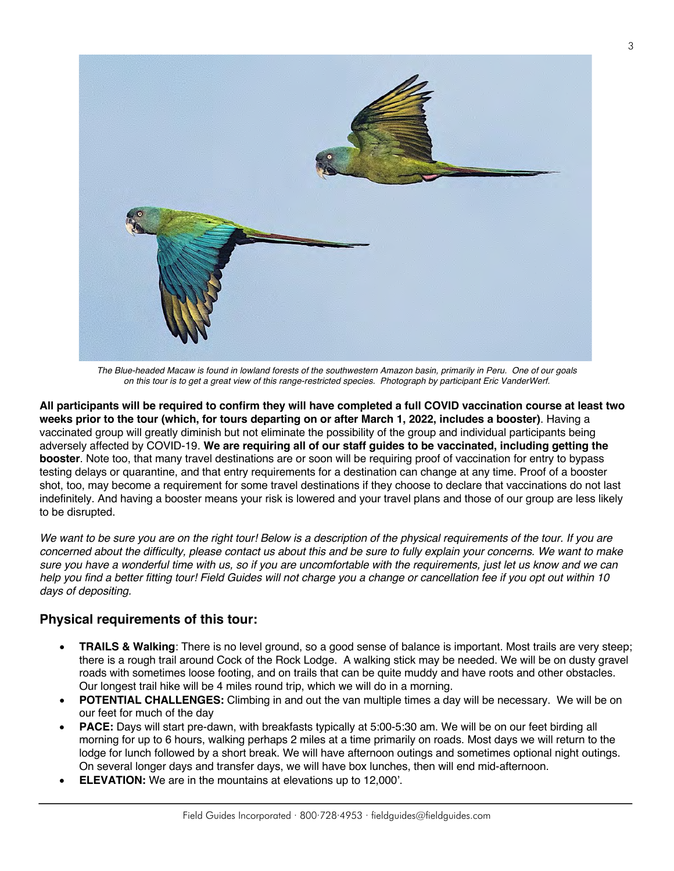

*The Blue-headed Macaw is found in lowland forests of the southwestern Amazon basin, primarily in Peru. One of our goals on this tour is to get a great view of this range-restricted species. Photograph by participant Eric VanderWerf.*

**All participants will be required to confirm they will have completed a full COVID vaccination course at least two weeks prior to the tour (which, for tours departing on or after March 1, 2022, includes a booster)**. Having a vaccinated group will greatly diminish but not eliminate the possibility of the group and individual participants being adversely affected by COVID-19. **We are requiring all of our staff guides to be vaccinated, including getting the booster**. Note too, that many travel destinations are or soon will be requiring proof of vaccination for entry to bypass testing delays or quarantine, and that entry requirements for a destination can change at any time. Proof of a booster shot, too, may become a requirement for some travel destinations if they choose to declare that vaccinations do not last indefinitely. And having a booster means your risk is lowered and your travel plans and those of our group are less likely to be disrupted.

We want to be sure you are on the right tour! Below is a description of the physical requirements of the tour. If you are *concerned about the difficulty, please contact us about this and be sure to fully explain your concerns. We want to make sure you have a wonderful time with us, so if you are uncomfortable with the requirements, just let us know and we can help you find a better fitting tour! Field Guides will not charge you a change or cancellation fee if you opt out within 10 days of depositing.*

### **Physical requirements of this tour:**

- **TRAILS & Walking**: There is no level ground, so a good sense of balance is important. Most trails are very steep; there is a rough trail around Cock of the Rock Lodge. A walking stick may be needed. We will be on dusty gravel roads with sometimes loose footing, and on trails that can be quite muddy and have roots and other obstacles. Our longest trail hike will be 4 miles round trip, which we will do in a morning.
- **POTENTIAL CHALLENGES:** Climbing in and out the van multiple times a day will be necessary. We will be on our feet for much of the day
- **PACE:** Days will start pre-dawn, with breakfasts typically at 5:00-5:30 am. We will be on our feet birding all morning for up to 6 hours, walking perhaps 2 miles at a time primarily on roads. Most days we will return to the lodge for lunch followed by a short break. We will have afternoon outings and sometimes optional night outings. On several longer days and transfer days, we will have box lunches, then will end mid-afternoon.
- **ELEVATION:** We are in the mountains at elevations up to 12,000'.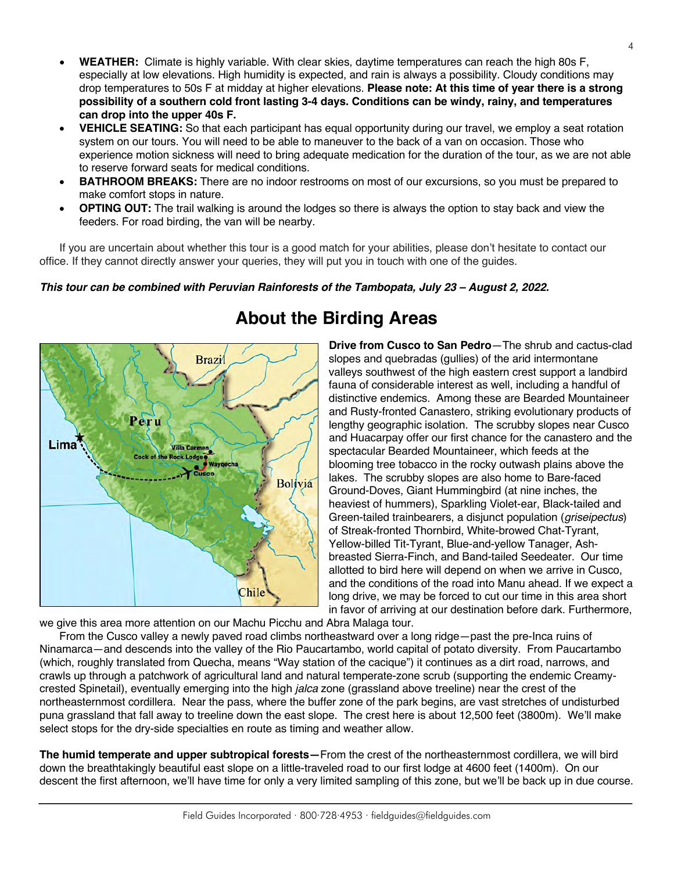- **WEATHER:** Climate is highly variable. With clear skies, daytime temperatures can reach the high 80s F, especially at low elevations. High humidity is expected, and rain is always a possibility. Cloudy conditions may drop temperatures to 50s F at midday at higher elevations. **Please note: At this time of year there is a strong possibility of a southern cold front lasting 3-4 days. Conditions can be windy, rainy, and temperatures can drop into the upper 40s F.**
- **VEHICLE SEATING:** So that each participant has equal opportunity during our travel, we employ a seat rotation system on our tours. You will need to be able to maneuver to the back of a van on occasion. Those who experience motion sickness will need to bring adequate medication for the duration of the tour, as we are not able to reserve forward seats for medical conditions.
- **BATHROOM BREAKS:** There are no indoor restrooms on most of our excursions, so you must be prepared to make comfort stops in nature.
- **OPTING OUT:** The trail walking is around the lodges so there is always the option to stay back and view the feeders. For road birding, the van will be nearby.

If you are uncertain about whether this tour is a good match for your abilities, please don't hesitate to contact our office. If they cannot directly answer your queries, they will put you in touch with one of the guides.

### *This tour can be combined with Peruvian Rainforests of the Tambopata, July 23 – August 2, 2022.*



# **About the Birding Areas**

**Drive from Cusco to San Pedro**—The shrub and cactus-clad slopes and quebradas (gullies) of the arid intermontane valleys southwest of the high eastern crest support a landbird fauna of considerable interest as well, including a handful of distinctive endemics. Among these are Bearded Mountaineer and Rusty-fronted Canastero, striking evolutionary products of lengthy geographic isolation. The scrubby slopes near Cusco and Huacarpay offer our first chance for the canastero and the spectacular Bearded Mountaineer, which feeds at the blooming tree tobacco in the rocky outwash plains above the lakes. The scrubby slopes are also home to Bare-faced Ground-Doves, Giant Hummingbird (at nine inches, the heaviest of hummers), Sparkling Violet-ear, Black-tailed and Green-tailed trainbearers, a disjunct population (*griseipectus*) of Streak-fronted Thornbird, White-browed Chat-Tyrant, Yellow-billed Tit-Tyrant, Blue-and-yellow Tanager, Ashbreasted Sierra-Finch, and Band-tailed Seedeater. Our time allotted to bird here will depend on when we arrive in Cusco, and the conditions of the road into Manu ahead. If we expect a long drive, we may be forced to cut our time in this area short in favor of arriving at our destination before dark. Furthermore,

we give this area more attention on our Machu Picchu and Abra Malaga tour.

From the Cusco valley a newly paved road climbs northeastward over a long ridge—past the pre-Inca ruins of Ninamarca—and descends into the valley of the Rio Paucartambo, world capital of potato diversity. From Paucartambo (which, roughly translated from Quecha, means "Way station of the cacique") it continues as a dirt road, narrows, and crawls up through a patchwork of agricultural land and natural temperate-zone scrub (supporting the endemic Creamycrested Spinetail), eventually emerging into the high *jalca* zone (grassland above treeline) near the crest of the northeasternmost cordillera. Near the pass, where the buffer zone of the park begins, are vast stretches of undisturbed puna grassland that fall away to treeline down the east slope. The crest here is about 12,500 feet (3800m). We'll make select stops for the dry-side specialties en route as timing and weather allow.

**The humid temperate and upper subtropical forests—**From the crest of the northeasternmost cordillera, we will bird down the breathtakingly beautiful east slope on a little-traveled road to our first lodge at 4600 feet (1400m). On our descent the first afternoon, we'll have time for only a very limited sampling of this zone, but we'll be back up in due course.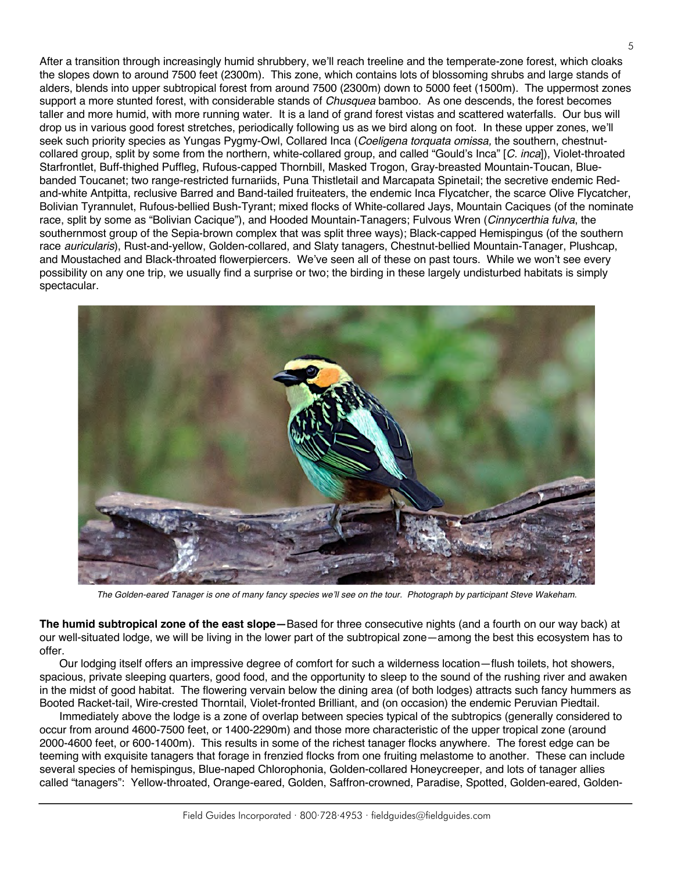After a transition through increasingly humid shrubbery, we'll reach treeline and the temperate-zone forest, which cloaks the slopes down to around 7500 feet (2300m). This zone, which contains lots of blossoming shrubs and large stands of alders, blends into upper subtropical forest from around 7500 (2300m) down to 5000 feet (1500m). The uppermost zones support a more stunted forest, with considerable stands of *Chusquea* bamboo. As one descends, the forest becomes taller and more humid, with more running water. It is a land of grand forest vistas and scattered waterfalls. Our bus will drop us in various good forest stretches, periodically following us as we bird along on foot. In these upper zones, we'll seek such priority species as Yungas Pygmy-Owl, Collared Inca (*Coeligena torquata omissa,* the southern, chestnutcollared group, split by some from the northern, white-collared group, and called "Gould's Inca" [*C. inca*]), Violet-throated Starfrontlet, Buff-thighed Puffleg, Rufous-capped Thornbill, Masked Trogon, Gray-breasted Mountain-Toucan, Bluebanded Toucanet; two range-restricted furnariids, Puna Thistletail and Marcapata Spinetail; the secretive endemic Redand-white Antpitta, reclusive Barred and Band-tailed fruiteaters, the endemic Inca Flycatcher, the scarce Olive Flycatcher, Bolivian Tyrannulet, Rufous-bellied Bush-Tyrant; mixed flocks of White-collared Jays, Mountain Caciques (of the nominate race, split by some as "Bolivian Cacique"), and Hooded Mountain-Tanagers; Fulvous Wren (*Cinnycerthia fulva*, the southernmost group of the Sepia-brown complex that was split three ways); Black-capped Hemispingus (of the southern race *auricularis*), Rust-and-yellow, Golden-collared, and Slaty tanagers, Chestnut-bellied Mountain-Tanager, Plushcap, and Moustached and Black-throated flowerpiercers. We've seen all of these on past tours. While we won't see every possibility on any one trip, we usually find a surprise or two; the birding in these largely undisturbed habitats is simply spectacular.



*The Golden-eared Tanager is one of many fancy species we'll see on the tour. Photograph by participant Steve Wakeham.* 

**The humid subtropical zone of the east slope—**Based for three consecutive nights (and a fourth on our way back) at our well-situated lodge, we will be living in the lower part of the subtropical zone—among the best this ecosystem has to offer.

Our lodging itself offers an impressive degree of comfort for such a wilderness location—flush toilets, hot showers, spacious, private sleeping quarters, good food, and the opportunity to sleep to the sound of the rushing river and awaken in the midst of good habitat. The flowering vervain below the dining area (of both lodges) attracts such fancy hummers as Booted Racket-tail, Wire-crested Thorntail, Violet-fronted Brilliant, and (on occasion) the endemic Peruvian Piedtail.

Immediately above the lodge is a zone of overlap between species typical of the subtropics (generally considered to occur from around 4600-7500 feet, or 1400-2290m) and those more characteristic of the upper tropical zone (around 2000-4600 feet, or 600-1400m). This results in some of the richest tanager flocks anywhere. The forest edge can be teeming with exquisite tanagers that forage in frenzied flocks from one fruiting melastome to another. These can include several species of hemispingus, Blue-naped Chlorophonia, Golden-collared Honeycreeper, and lots of tanager allies called "tanagers": Yellow-throated, Orange-eared, Golden, Saffron-crowned, Paradise, Spotted, Golden-eared, Golden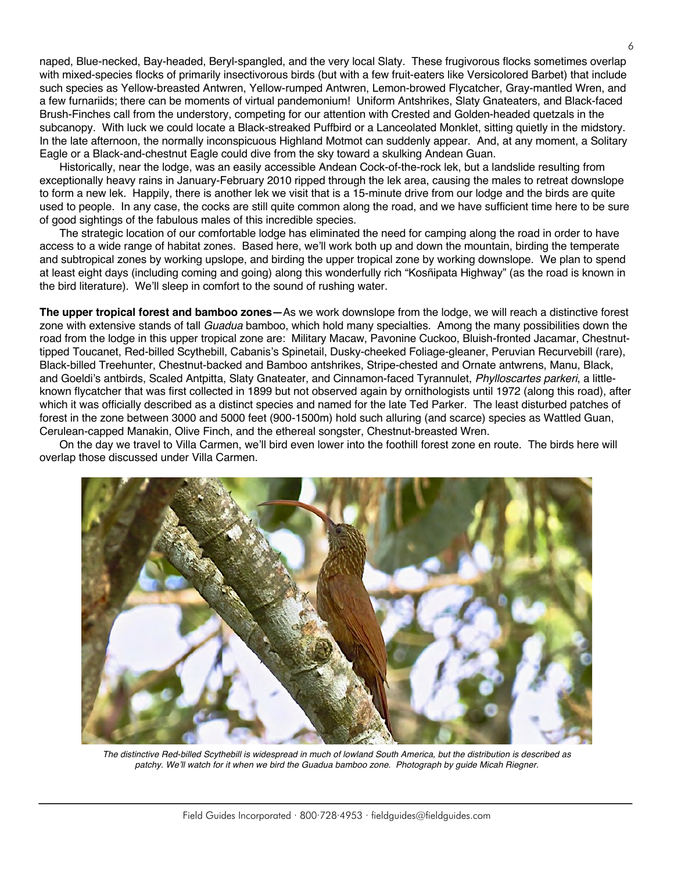naped, Blue-necked, Bay-headed, Beryl-spangled, and the very local Slaty. These frugivorous flocks sometimes overlap with mixed-species flocks of primarily insectivorous birds (but with a few fruit-eaters like Versicolored Barbet) that include such species as Yellow-breasted Antwren, Yellow-rumped Antwren, Lemon-browed Flycatcher, Gray-mantled Wren, and a few furnariids; there can be moments of virtual pandemonium! Uniform Antshrikes, Slaty Gnateaters, and Black-faced Brush-Finches call from the understory, competing for our attention with Crested and Golden-headed quetzals in the subcanopy. With luck we could locate a Black-streaked Puffbird or a Lanceolated Monklet, sitting quietly in the midstory. In the late afternoon, the normally inconspicuous Highland Motmot can suddenly appear. And, at any moment, a Solitary Eagle or a Black-and-chestnut Eagle could dive from the sky toward a skulking Andean Guan.

Historically, near the lodge, was an easily accessible Andean Cock-of-the-rock lek, but a landslide resulting from exceptionally heavy rains in January-February 2010 ripped through the lek area, causing the males to retreat downslope to form a new lek. Happily, there is another lek we visit that is a 15-minute drive from our lodge and the birds are quite used to people. In any case, the cocks are still quite common along the road, and we have sufficient time here to be sure of good sightings of the fabulous males of this incredible species.

The strategic location of our comfortable lodge has eliminated the need for camping along the road in order to have access to a wide range of habitat zones. Based here, we'll work both up and down the mountain, birding the temperate and subtropical zones by working upslope, and birding the upper tropical zone by working downslope. We plan to spend at least eight days (including coming and going) along this wonderfully rich "Kosñipata Highway" (as the road is known in the bird literature). We'll sleep in comfort to the sound of rushing water.

**The upper tropical forest and bamboo zones—**As we work downslope from the lodge, we will reach a distinctive forest zone with extensive stands of tall *Guadua* bamboo, which hold many specialties. Among the many possibilities down the road from the lodge in this upper tropical zone are: Military Macaw, Pavonine Cuckoo, Bluish-fronted Jacamar, Chestnuttipped Toucanet, Red-billed Scythebill, Cabanis's Spinetail, Dusky-cheeked Foliage-gleaner, Peruvian Recurvebill (rare), Black-billed Treehunter, Chestnut-backed and Bamboo antshrikes, Stripe-chested and Ornate antwrens, Manu, Black, and Goeldi's antbirds, Scaled Antpitta, Slaty Gnateater, and Cinnamon-faced Tyrannulet, *Phylloscartes parkeri*, a littleknown flycatcher that was first collected in 1899 but not observed again by ornithologists until 1972 (along this road), after which it was officially described as a distinct species and named for the late Ted Parker. The least disturbed patches of forest in the zone between 3000 and 5000 feet (900-1500m) hold such alluring (and scarce) species as Wattled Guan, Cerulean-capped Manakin, Olive Finch, and the ethereal songster, Chestnut-breasted Wren.

On the day we travel to Villa Carmen, we'll bird even lower into the foothill forest zone en route. The birds here will overlap those discussed under Villa Carmen.



The distinctive Red-billed Scythebill is widespread in much of lowland South America, but the distribution is described as *patchy. We'll watch for it when we bird the Guadua bamboo zone. Photograph by guide Micah Riegner.*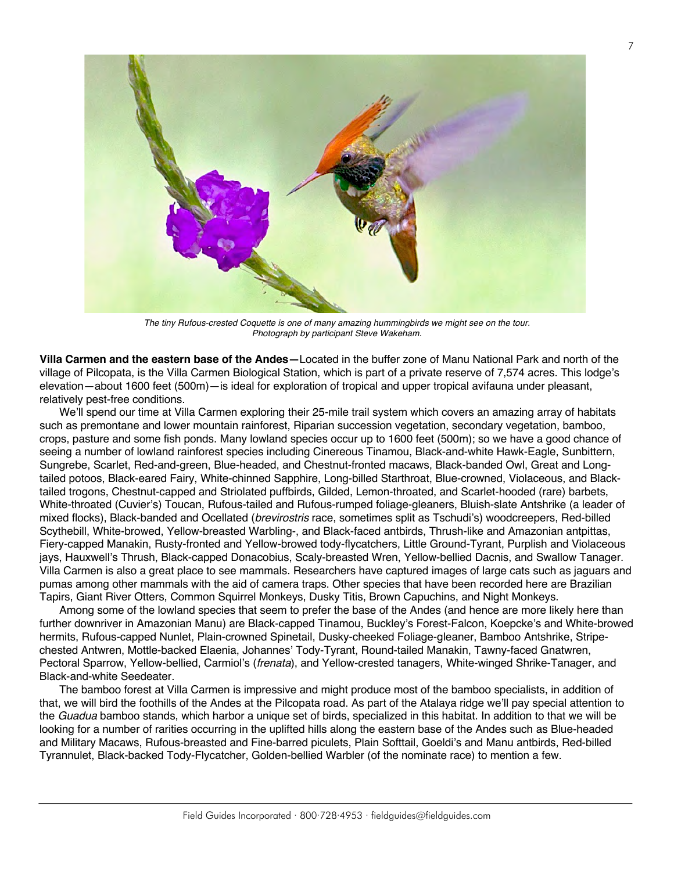

*The tiny Rufous-crested Coquette is one of many amazing hummingbirds we might see on the tour. Photograph by participant Steve Wakeham.*

**Villa Carmen and the eastern base of the Andes—**Located in the buffer zone of Manu National Park and north of the village of Pilcopata, is the Villa Carmen Biological Station, which is part of a private reserve of 7,574 acres. This lodge's elevation—about 1600 feet (500m)—is ideal for exploration of tropical and upper tropical avifauna under pleasant, relatively pest-free conditions.

We'll spend our time at Villa Carmen exploring their 25-mile trail system which covers an amazing array of habitats such as premontane and lower mountain rainforest, Riparian succession vegetation, secondary vegetation, bamboo, crops, pasture and some fish ponds. Many lowland species occur up to 1600 feet (500m); so we have a good chance of seeing a number of lowland rainforest species including Cinereous Tinamou, Black-and-white Hawk-Eagle, Sunbittern, Sungrebe, Scarlet, Red-and-green, Blue-headed, and Chestnut-fronted macaws, Black-banded Owl, Great and Longtailed potoos, Black-eared Fairy, White-chinned Sapphire, Long-billed Starthroat, Blue-crowned, Violaceous, and Blacktailed trogons, Chestnut-capped and Striolated puffbirds, Gilded, Lemon-throated, and Scarlet-hooded (rare) barbets, White-throated (Cuvier's) Toucan, Rufous-tailed and Rufous-rumped foliage-gleaners, Bluish-slate Antshrike (a leader of mixed flocks), Black-banded and Ocellated (*brevirostris* race, sometimes split as Tschudi's) woodcreepers, Red-billed Scythebill, White-browed, Yellow-breasted Warbling-, and Black-faced antbirds, Thrush-like and Amazonian antpittas, Fiery-capped Manakin, Rusty-fronted and Yellow-browed tody-flycatchers, Little Ground-Tyrant, Purplish and Violaceous jays, Hauxwell's Thrush, Black-capped Donacobius, Scaly-breasted Wren, Yellow-bellied Dacnis, and Swallow Tanager. Villa Carmen is also a great place to see mammals. Researchers have captured images of large cats such as jaguars and pumas among other mammals with the aid of camera traps. Other species that have been recorded here are Brazilian Tapirs, Giant River Otters, Common Squirrel Monkeys, Dusky Titis, Brown Capuchins, and Night Monkeys.

Among some of the lowland species that seem to prefer the base of the Andes (and hence are more likely here than further downriver in Amazonian Manu) are Black-capped Tinamou, Buckley's Forest-Falcon, Koepcke's and White-browed hermits, Rufous-capped Nunlet, Plain-crowned Spinetail, Dusky-cheeked Foliage-gleaner, Bamboo Antshrike, Stripechested Antwren, Mottle-backed Elaenia, Johannes' Tody-Tyrant, Round-tailed Manakin, Tawny-faced Gnatwren, Pectoral Sparrow, Yellow-bellied, Carmiol's (*frenata*), and Yellow-crested tanagers, White-winged Shrike-Tanager, and Black-and-white Seedeater.

The bamboo forest at Villa Carmen is impressive and might produce most of the bamboo specialists, in addition of that, we will bird the foothills of the Andes at the Pilcopata road. As part of the Atalaya ridge we'll pay special attention to the *Guadua* bamboo stands, which harbor a unique set of birds, specialized in this habitat. In addition to that we will be looking for a number of rarities occurring in the uplifted hills along the eastern base of the Andes such as Blue-headed and Military Macaws, Rufous-breasted and Fine-barred piculets, Plain Softtail, Goeldi's and Manu antbirds, Red-billed Tyrannulet, Black-backed Tody-Flycatcher, Golden-bellied Warbler (of the nominate race) to mention a few.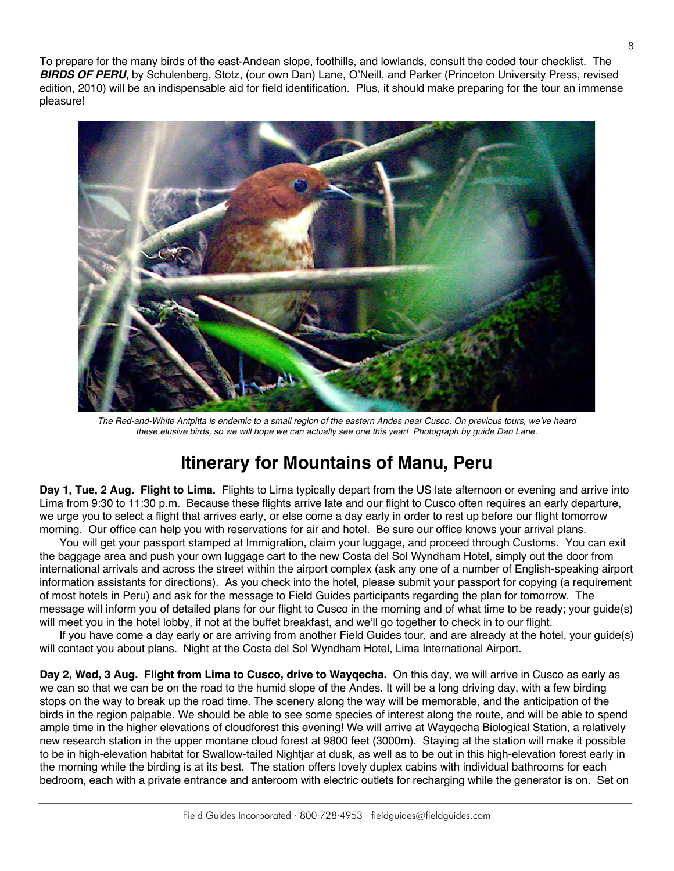To prepare for the many birds of the east-Andean slope, foothills, and lowlands, consult the coded tour checklist. The *BIRDS OF PERU*, by Schulenberg, Stotz, (our own Dan) Lane, O'Neill, and Parker (Princeton University Press, revised edition, 2010) will be an indispensable aid for field identification. Plus, it should make preparing for the tour an immense pleasure!



*The Red-and-White Antpitta is endemic to a small region of the eastern Andes near Cusco. On previous tours, we've heard these elusive birds, so we will hope we can actually see one this year! Photograph by guide Dan Lane.*

### **Itinerary for Mountains of Manu, Peru**

**Day 1, Tue, 2 Aug. Flight to Lima.** Flights to Lima typically depart from the US late afternoon or evening and arrive into Lima from 9:30 to 11:30 p.m. Because these flights arrive late and our flight to Cusco often requires an early departure, we urge you to select a flight that arrives early, or else come a day early in order to rest up before our flight tomorrow morning. Our office can help you with reservations for air and hotel. Be sure our office knows your arrival plans.

You will get your passport stamped at Immigration, claim your luggage, and proceed through Customs. You can exit the baggage area and push your own luggage cart to the new Costa del Sol Wyndham Hotel, simply out the door from international arrivals and across the street within the airport complex (ask any one of a number of English-speaking airport information assistants for directions). As you check into the hotel, please submit your passport for copying (a requirement of most hotels in Peru) and ask for the message to Field Guides participants regarding the plan for tomorrow. The message will inform you of detailed plans for our flight to Cusco in the morning and of what time to be ready; your guide(s) will meet you in the hotel lobby, if not at the buffet breakfast, and we'll go together to check in to our flight.

If you have come a day early or are arriving from another Field Guides tour, and are already at the hotel, your guide(s) will contact you about plans. Night at the Costa del Sol Wyndham Hotel, Lima International Airport.

**Day 2, Wed, 3 Aug. Flight from Lima to Cusco, drive to Wayqecha.** On this day, we will arrive in Cusco as early as we can so that we can be on the road to the humid slope of the Andes. It will be a long driving day, with a few birding stops on the way to break up the road time. The scenery along the way will be memorable, and the anticipation of the birds in the region palpable. We should be able to see some species of interest along the route, and will be able to spend ample time in the higher elevations of cloudforest this evening! We will arrive at Wayqecha Biological Station, a relatively new research station in the upper montane cloud forest at 9800 feet (3000m). Staying at the station will make it possible to be in high-elevation habitat for Swallow-tailed Nightjar at dusk, as well as to be out in this high-elevation forest early in the morning while the birding is at its best. The station offers lovely duplex cabins with individual bathrooms for each bedroom, each with a private entrance and anteroom with electric outlets for recharging while the generator is on. Set on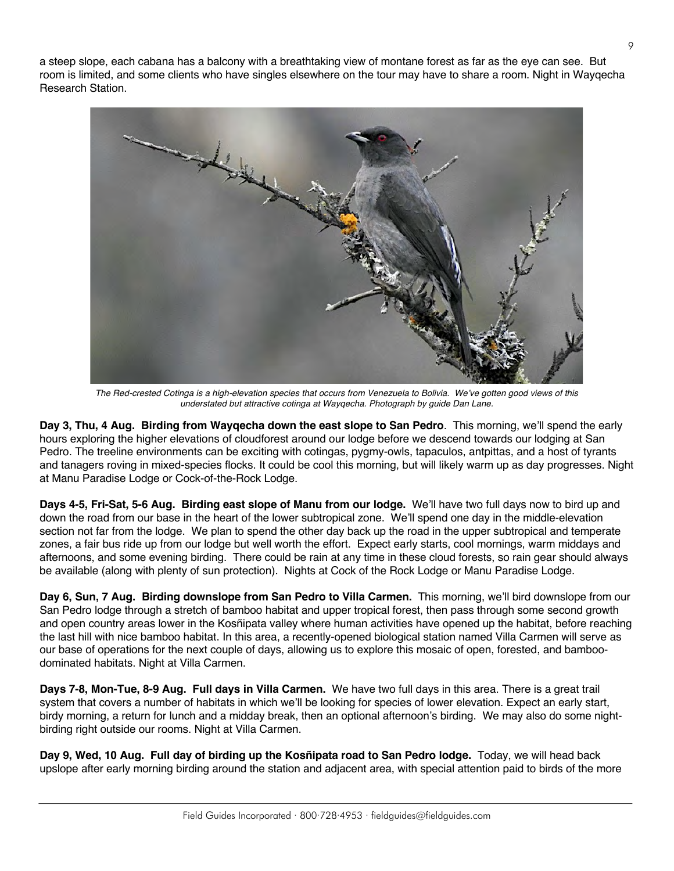a steep slope, each cabana has a balcony with a breathtaking view of montane forest as far as the eye can see. But room is limited, and some clients who have singles elsewhere on the tour may have to share a room. Night in Wayqecha Research Station.



*The Red-crested Cotinga is a high-elevation species that occurs from Venezuela to Bolivia. We've gotten good views of this understated but attractive cotinga at Wayqecha. Photograph by guide Dan Lane.*

**Day 3, Thu, 4 Aug. Birding from Wayqecha down the east slope to San Pedro**. This morning, we'll spend the early hours exploring the higher elevations of cloudforest around our lodge before we descend towards our lodging at San Pedro. The treeline environments can be exciting with cotingas, pygmy-owls, tapaculos, antpittas, and a host of tyrants and tanagers roving in mixed-species flocks. It could be cool this morning, but will likely warm up as day progresses. Night at Manu Paradise Lodge or Cock-of-the-Rock Lodge.

**Days 4-5, Fri-Sat, 5-6 Aug. Birding east slope of Manu from our lodge.** We'll have two full days now to bird up and down the road from our base in the heart of the lower subtropical zone. We'll spend one day in the middle-elevation section not far from the lodge. We plan to spend the other day back up the road in the upper subtropical and temperate zones, a fair bus ride up from our lodge but well worth the effort. Expect early starts, cool mornings, warm middays and afternoons, and some evening birding. There could be rain at any time in these cloud forests, so rain gear should always be available (along with plenty of sun protection). Nights at Cock of the Rock Lodge or Manu Paradise Lodge.

**Day 6, Sun, 7 Aug. Birding downslope from San Pedro to Villa Carmen.** This morning, we'll bird downslope from our San Pedro lodge through a stretch of bamboo habitat and upper tropical forest, then pass through some second growth and open country areas lower in the Kosñipata valley where human activities have opened up the habitat, before reaching the last hill with nice bamboo habitat. In this area, a recently-opened biological station named Villa Carmen will serve as our base of operations for the next couple of days, allowing us to explore this mosaic of open, forested, and bamboodominated habitats. Night at Villa Carmen.

**Days 7-8, Mon-Tue, 8-9 Aug. Full days in Villa Carmen.** We have two full days in this area. There is a great trail system that covers a number of habitats in which we'll be looking for species of lower elevation. Expect an early start, birdy morning, a return for lunch and a midday break, then an optional afternoon's birding. We may also do some nightbirding right outside our rooms. Night at Villa Carmen.

**Day 9, Wed, 10 Aug. Full day of birding up the Kosñipata road to San Pedro lodge.** Today, we will head back upslope after early morning birding around the station and adjacent area, with special attention paid to birds of the more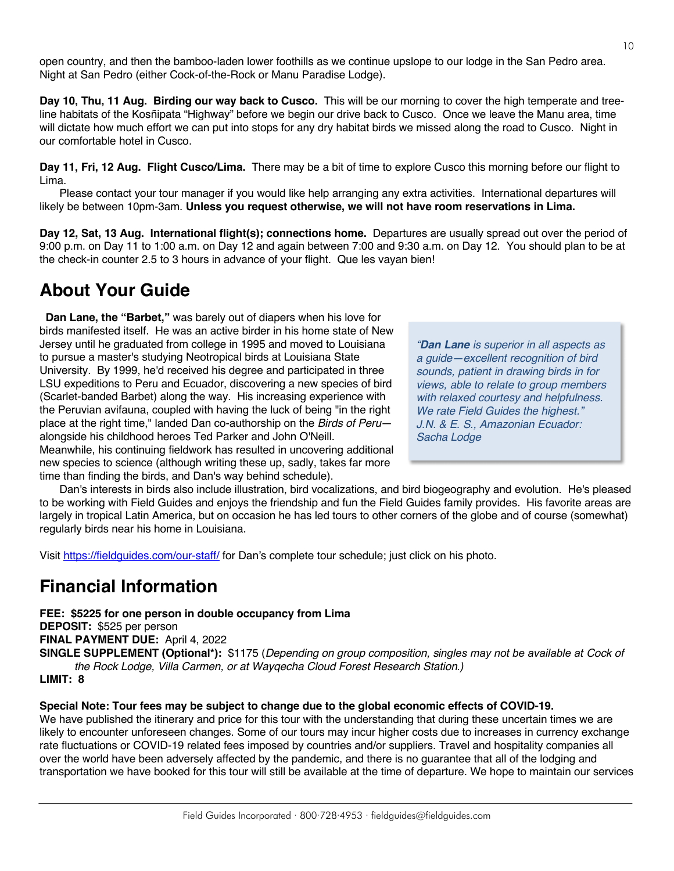open country, and then the bamboo-laden lower foothills as we continue upslope to our lodge in the San Pedro area. Night at San Pedro (either Cock-of-the-Rock or Manu Paradise Lodge).

**Day 10, Thu, 11 Aug. Birding our way back to Cusco.** This will be our morning to cover the high temperate and treeline habitats of the Kosñipata "Highway" before we begin our drive back to Cusco. Once we leave the Manu area, time will dictate how much effort we can put into stops for any dry habitat birds we missed along the road to Cusco. Night in our comfortable hotel in Cusco.

**Day 11, Fri, 12 Aug. Flight Cusco/Lima.** There may be a bit of time to explore Cusco this morning before our flight to Lima.

Please contact your tour manager if you would like help arranging any extra activities. International departures will likely be between 10pm-3am. **Unless you request otherwise, we will not have room reservations in Lima.**

**Day 12, Sat, 13 Aug. International flight(s); connections home.** Departures are usually spread out over the period of 9:00 p.m. on Day 11 to 1:00 a.m. on Day 12 and again between 7:00 and 9:30 a.m. on Day 12. You should plan to be at the check-in counter 2.5 to 3 hours in advance of your flight. Que les vayan bien!

# **About Your Guide**

 **Dan Lane, the "Barbet,"** was barely out of diapers when his love for birds manifested itself. He was an active birder in his home state of New Jersey until he graduated from college in 1995 and moved to Louisiana to pursue a master's studying Neotropical birds at Louisiana State University. By 1999, he'd received his degree and participated in three LSU expeditions to Peru and Ecuador, discovering a new species of bird (Scarlet-banded Barbet) along the way. His increasing experience with the Peruvian avifauna, coupled with having the luck of being "in the right place at the right time," landed Dan co-authorship on the *Birds of Peru* alongside his childhood heroes Ted Parker and John O'Neill. Meanwhile, his continuing fieldwork has resulted in uncovering additional new species to science (although writing these up, sadly, takes far more time than finding the birds, and Dan's way behind schedule).

*"Dan Lane is superior in all aspects as a guide—excellent recognition of bird sounds, patient in drawing birds in for views, able to relate to group members with relaxed courtesy and helpfulness. We rate Field Guides the highest." J.N. & E. S., Amazonian Ecuador: Sacha Lodge* 

Dan's interests in birds also include illustration, bird vocalizations, and bird biogeography and evolution. He's pleased to be working with Field Guides and enjoys the friendship and fun the Field Guides family provides. His favorite areas are largely in tropical Latin America, but on occasion he has led tours to other corners of the globe and of course (somewhat) regularly birds near his home in Louisiana.

Visit https://fieldguides.com/our-staff/ for Dan's complete tour schedule; just click on his photo.

# **Financial Information**

**FEE: \$5225 for one person in double occupancy from Lima DEPOSIT:** \$525 per person **FINAL PAYMENT DUE:** April 4, 2022

**SINGLE SUPPLEMENT (Optional\*):** \$1175 (*Depending on group composition, singles may not be available at Cock of the Rock Lodge, Villa Carmen, or at Wayqecha Cloud Forest Research Station.)*

**LIMIT: 8**

#### **Special Note: Tour fees may be subject to change due to the global economic effects of COVID-19.**

We have published the itinerary and price for this tour with the understanding that during these uncertain times we are likely to encounter unforeseen changes. Some of our tours may incur higher costs due to increases in currency exchange rate fluctuations or COVID-19 related fees imposed by countries and/or suppliers. Travel and hospitality companies all over the world have been adversely affected by the pandemic, and there is no guarantee that all of the lodging and transportation we have booked for this tour will still be available at the time of departure. We hope to maintain our services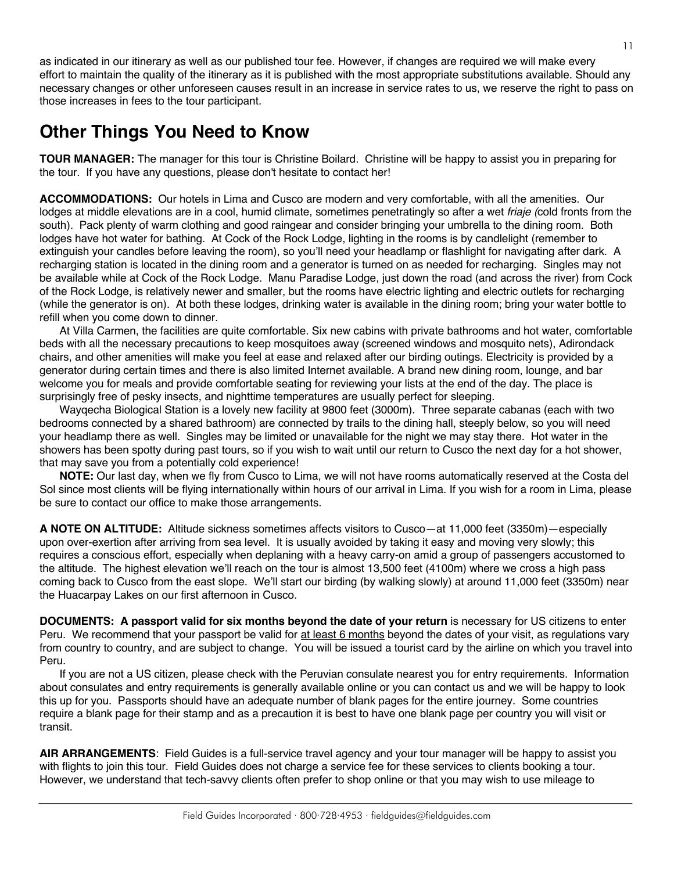as indicated in our itinerary as well as our published tour fee. However, if changes are required we will make every effort to maintain the quality of the itinerary as it is published with the most appropriate substitutions available. Should any necessary changes or other unforeseen causes result in an increase in service rates to us, we reserve the right to pass on those increases in fees to the tour participant.

# **Other Things You Need to Know**

**TOUR MANAGER:** The manager for this tour is Christine Boilard. Christine will be happy to assist you in preparing for the tour. If you have any questions, please don't hesitate to contact her!

**ACCOMMODATIONS:** Our hotels in Lima and Cusco are modern and very comfortable, with all the amenities. Our lodges at middle elevations are in a cool, humid climate, sometimes penetratingly so after a wet *friaje (*cold fronts from the south)*.* Pack plenty of warm clothing and good raingear and consider bringing your umbrella to the dining room. Both lodges have hot water for bathing. At Cock of the Rock Lodge, lighting in the rooms is by candlelight (remember to extinguish your candles before leaving the room), so you'll need your headlamp or flashlight for navigating after dark. A recharging station is located in the dining room and a generator is turned on as needed for recharging. Singles may not be available while at Cock of the Rock Lodge. Manu Paradise Lodge, just down the road (and across the river) from Cock of the Rock Lodge, is relatively newer and smaller, but the rooms have electric lighting and electric outlets for recharging (while the generator is on). At both these lodges, drinking water is available in the dining room; bring your water bottle to refill when you come down to dinner.

At Villa Carmen, the facilities are quite comfortable. Six new cabins with private bathrooms and hot water, comfortable beds with all the necessary precautions to keep mosquitoes away (screened windows and mosquito nets), Adirondack chairs, and other amenities will make you feel at ease and relaxed after our birding outings. Electricity is provided by a generator during certain times and there is also limited Internet available. A brand new dining room, lounge, and bar welcome you for meals and provide comfortable seating for reviewing your lists at the end of the day. The place is surprisingly free of pesky insects, and nighttime temperatures are usually perfect for sleeping.

Wayqecha Biological Station is a lovely new facility at 9800 feet (3000m). Three separate cabanas (each with two bedrooms connected by a shared bathroom) are connected by trails to the dining hall, steeply below, so you will need your headlamp there as well. Singles may be limited or unavailable for the night we may stay there. Hot water in the showers has been spotty during past tours, so if you wish to wait until our return to Cusco the next day for a hot shower, that may save you from a potentially cold experience!

**NOTE:** Our last day, when we fly from Cusco to Lima, we will not have rooms automatically reserved at the Costa del Sol since most clients will be flying internationally within hours of our arrival in Lima. If you wish for a room in Lima, please be sure to contact our office to make those arrangements.

**A NOTE ON ALTITUDE:** Altitude sickness sometimes affects visitors to Cusco—at 11,000 feet (3350m)—especially upon over-exertion after arriving from sea level. It is usually avoided by taking it easy and moving very slowly; this requires a conscious effort, especially when deplaning with a heavy carry-on amid a group of passengers accustomed to the altitude. The highest elevation we'll reach on the tour is almost 13,500 feet (4100m) where we cross a high pass coming back to Cusco from the east slope. We'll start our birding (by walking slowly) at around 11,000 feet (3350m) near the Huacarpay Lakes on our first afternoon in Cusco.

**DOCUMENTS: A passport valid for six months beyond the date of your return** is necessary for US citizens to enter Peru. We recommend that your passport be valid for at least 6 months beyond the dates of your visit, as regulations vary from country to country, and are subject to change. You will be issued a tourist card by the airline on which you travel into Peru.

If you are not a US citizen, please check with the Peruvian consulate nearest you for entry requirements. Information about consulates and entry requirements is generally available online or you can contact us and we will be happy to look this up for you. Passports should have an adequate number of blank pages for the entire journey. Some countries require a blank page for their stamp and as a precaution it is best to have one blank page per country you will visit or transit.

**AIR ARRANGEMENTS**: Field Guides is a full-service travel agency and your tour manager will be happy to assist you with flights to join this tour. Field Guides does not charge a service fee for these services to clients booking a tour. However, we understand that tech-savvy clients often prefer to shop online or that you may wish to use mileage to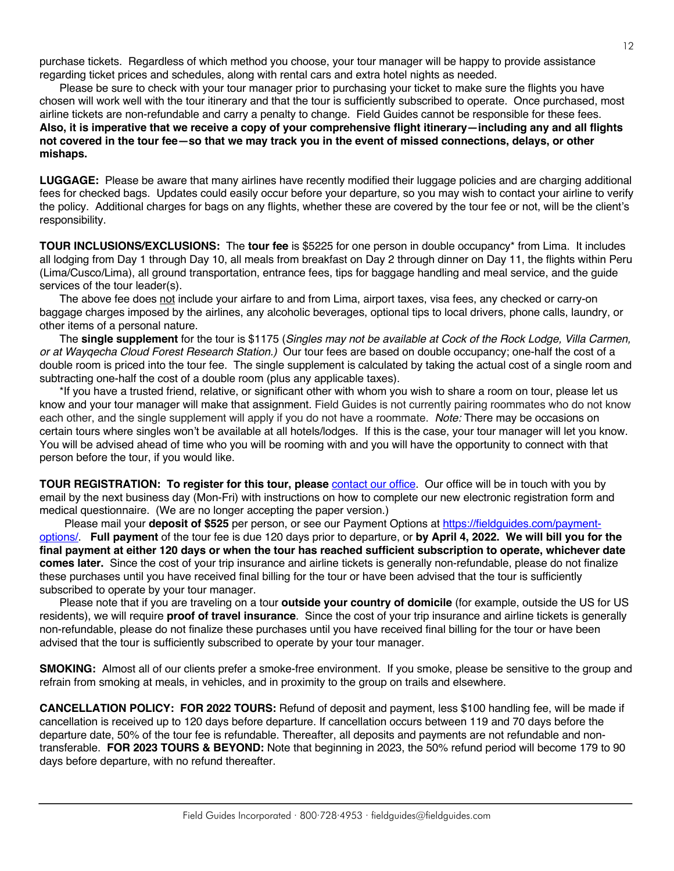purchase tickets. Regardless of which method you choose, your tour manager will be happy to provide assistance regarding ticket prices and schedules, along with rental cars and extra hotel nights as needed.

Please be sure to check with your tour manager prior to purchasing your ticket to make sure the flights you have chosen will work well with the tour itinerary and that the tour is sufficiently subscribed to operate. Once purchased, most airline tickets are non-refundable and carry a penalty to change. Field Guides cannot be responsible for these fees. **Also, it is imperative that we receive a copy of your comprehensive flight itinerary—including any and all flights not covered in the tour fee—so that we may track you in the event of missed connections, delays, or other mishaps.**

**LUGGAGE:** Please be aware that many airlines have recently modified their luggage policies and are charging additional fees for checked bags. Updates could easily occur before your departure, so you may wish to contact your airline to verify the policy. Additional charges for bags on any flights, whether these are covered by the tour fee or not, will be the client's responsibility.

**TOUR INCLUSIONS/EXCLUSIONS:** The **tour fee** is \$5225 for one person in double occupancy\* from Lima. It includes all lodging from Day 1 through Day 10, all meals from breakfast on Day 2 through dinner on Day 11, the flights within Peru (Lima/Cusco/Lima), all ground transportation, entrance fees, tips for baggage handling and meal service, and the guide services of the tour leader(s).

The above fee does not include your airfare to and from Lima, airport taxes, visa fees, any checked or carry-on baggage charges imposed by the airlines, any alcoholic beverages, optional tips to local drivers, phone calls, laundry, or other items of a personal nature.

The **single supplement** for the tour is \$1175 (*Singles may not be available at Cock of the Rock Lodge, Villa Carmen, or at Wayqecha Cloud Forest Research Station.)* Our tour fees are based on double occupancy; one-half the cost of a double room is priced into the tour fee. The single supplement is calculated by taking the actual cost of a single room and subtracting one-half the cost of a double room (plus any applicable taxes).

\*If you have a trusted friend, relative, or significant other with whom you wish to share a room on tour, please let us know and your tour manager will make that assignment. Field Guides is not currently pairing roommates who do not know each other, and the single supplement will apply if you do not have a roommate. *Note:* There may be occasions on certain tours where singles won't be available at all hotels/lodges. If this is the case, your tour manager will let you know. You will be advised ahead of time who you will be rooming with and you will have the opportunity to connect with that person before the tour, if you would like.

**TOUR REGISTRATION: To register for this tour, please** [contact our office](https://fieldguides.com/contact-us/). Our office will be in touch with you by email by the next business day (Mon-Fri) with instructions on how to complete our new electronic registration form and medical questionnaire. (We are no longer accepting the paper version.)

Please mail your **deposit of \$525** per person, or see our Payment Options at [https://fieldguides.com/payment](https://fieldguides.com/payment-options/)[options/.](https://fieldguides.com/payment-options/) **Full payment** of the tour fee is due 120 days prior to departure, or **by April 4, 2022. We will bill you for the final payment at either 120 days or when the tour has reached sufficient subscription to operate, whichever date comes later.** Since the cost of your trip insurance and airline tickets is generally non-refundable, please do not finalize these purchases until you have received final billing for the tour or have been advised that the tour is sufficiently subscribed to operate by your tour manager.

Please note that if you are traveling on a tour **outside your country of domicile** (for example, outside the US for US residents), we will require **proof of travel insurance**. Since the cost of your trip insurance and airline tickets is generally non-refundable, please do not finalize these purchases until you have received final billing for the tour or have been advised that the tour is sufficiently subscribed to operate by your tour manager.

**SMOKING:** Almost all of our clients prefer a smoke-free environment. If you smoke, please be sensitive to the group and refrain from smoking at meals, in vehicles, and in proximity to the group on trails and elsewhere.

**CANCELLATION POLICY: FOR 2022 TOURS:** Refund of deposit and payment, less \$100 handling fee, will be made if cancellation is received up to 120 days before departure. If cancellation occurs between 119 and 70 days before the departure date, 50% of the tour fee is refundable. Thereafter, all deposits and payments are not refundable and nontransferable. **FOR 2023 TOURS & BEYOND:** Note that beginning in 2023, the 50% refund period will become 179 to 90 days before departure, with no refund thereafter.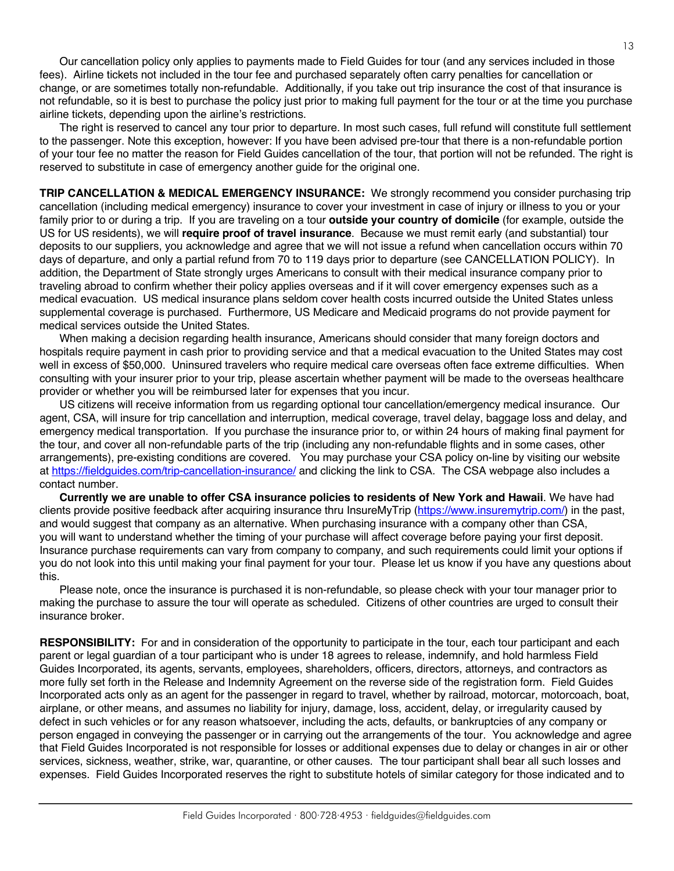Our cancellation policy only applies to payments made to Field Guides for tour (and any services included in those fees). Airline tickets not included in the tour fee and purchased separately often carry penalties for cancellation or change, or are sometimes totally non-refundable. Additionally, if you take out trip insurance the cost of that insurance is not refundable, so it is best to purchase the policy just prior to making full payment for the tour or at the time you purchase airline tickets, depending upon the airline's restrictions.

The right is reserved to cancel any tour prior to departure. In most such cases, full refund will constitute full settlement to the passenger. Note this exception, however: If you have been advised pre-tour that there is a non-refundable portion of your tour fee no matter the reason for Field Guides cancellation of the tour, that portion will not be refunded. The right is reserved to substitute in case of emergency another guide for the original one.

**TRIP CANCELLATION & MEDICAL EMERGENCY INSURANCE:** We strongly recommend you consider purchasing trip cancellation (including medical emergency) insurance to cover your investment in case of injury or illness to you or your family prior to or during a trip. If you are traveling on a tour **outside your country of domicile** (for example, outside the US for US residents), we will **require proof of travel insurance**. Because we must remit early (and substantial) tour deposits to our suppliers, you acknowledge and agree that we will not issue a refund when cancellation occurs within 70 days of departure, and only a partial refund from 70 to 119 days prior to departure (see CANCELLATION POLICY). In addition, the Department of State strongly urges Americans to consult with their medical insurance company prior to traveling abroad to confirm whether their policy applies overseas and if it will cover emergency expenses such as a medical evacuation. US medical insurance plans seldom cover health costs incurred outside the United States unless supplemental coverage is purchased. Furthermore, US Medicare and Medicaid programs do not provide payment for medical services outside the United States.

When making a decision regarding health insurance, Americans should consider that many foreign doctors and hospitals require payment in cash prior to providing service and that a medical evacuation to the United States may cost well in excess of \$50,000. Uninsured travelers who require medical care overseas often face extreme difficulties. When consulting with your insurer prior to your trip, please ascertain whether payment will be made to the overseas healthcare provider or whether you will be reimbursed later for expenses that you incur.

US citizens will receive information from us regarding optional tour cancellation/emergency medical insurance. Our agent, CSA, will insure for trip cancellation and interruption, medical coverage, travel delay, baggage loss and delay, and emergency medical transportation. If you purchase the insurance prior to, or within 24 hours of making final payment for the tour, and cover all non-refundable parts of the trip (including any non-refundable flights and in some cases, other arrangements), pre-existing conditions are covered. You may purchase your CSA policy on-line by visiting our website at https://fieldguides.com/trip-cancellation-insurance/ and clicking the link to CSA. The CSA webpage also includes a contact number.

**Currently we are unable to offer CSA insurance policies to residents of New York and Hawaii**. We have had clients provide positive feedback after acquiring insurance thru InsureMyTrip (https://www.insuremytrip.com/) in the past, and would suggest that company as an alternative. When purchasing insurance with a company other than CSA, you will want to understand whether the timing of your purchase will affect coverage before paying your first deposit. Insurance purchase requirements can vary from company to company, and such requirements could limit your options if you do not look into this until making your final payment for your tour. Please let us know if you have any questions about this.

Please note, once the insurance is purchased it is non-refundable, so please check with your tour manager prior to making the purchase to assure the tour will operate as scheduled. Citizens of other countries are urged to consult their insurance broker.

**RESPONSIBILITY:** For and in consideration of the opportunity to participate in the tour, each tour participant and each parent or legal guardian of a tour participant who is under 18 agrees to release, indemnify, and hold harmless Field Guides Incorporated, its agents, servants, employees, shareholders, officers, directors, attorneys, and contractors as more fully set forth in the Release and Indemnity Agreement on the reverse side of the registration form. Field Guides Incorporated acts only as an agent for the passenger in regard to travel, whether by railroad, motorcar, motorcoach, boat, airplane, or other means, and assumes no liability for injury, damage, loss, accident, delay, or irregularity caused by defect in such vehicles or for any reason whatsoever, including the acts, defaults, or bankruptcies of any company or person engaged in conveying the passenger or in carrying out the arrangements of the tour. You acknowledge and agree that Field Guides Incorporated is not responsible for losses or additional expenses due to delay or changes in air or other services, sickness, weather, strike, war, quarantine, or other causes. The tour participant shall bear all such losses and expenses. Field Guides Incorporated reserves the right to substitute hotels of similar category for those indicated and to